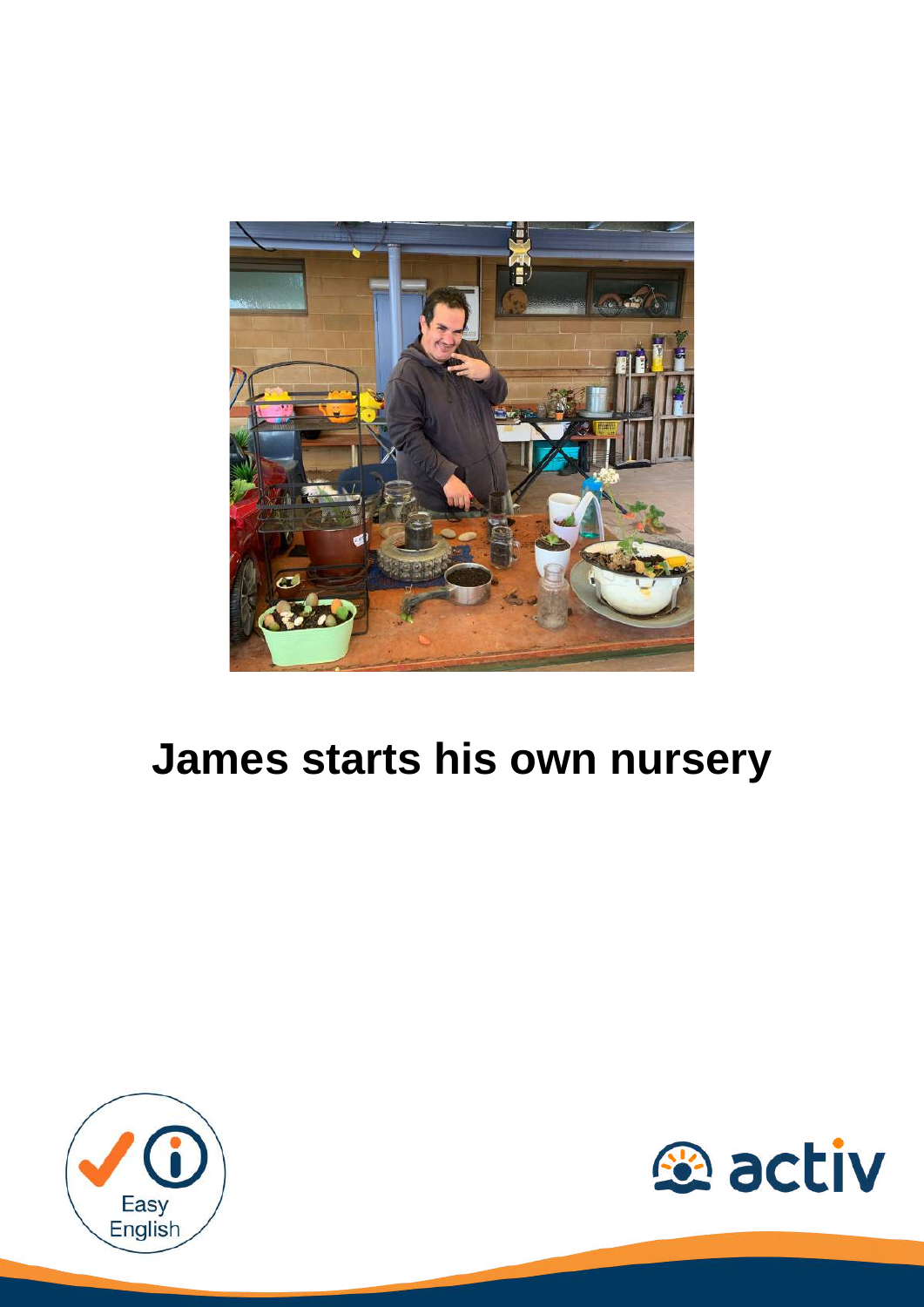

# **James starts his own nursery**



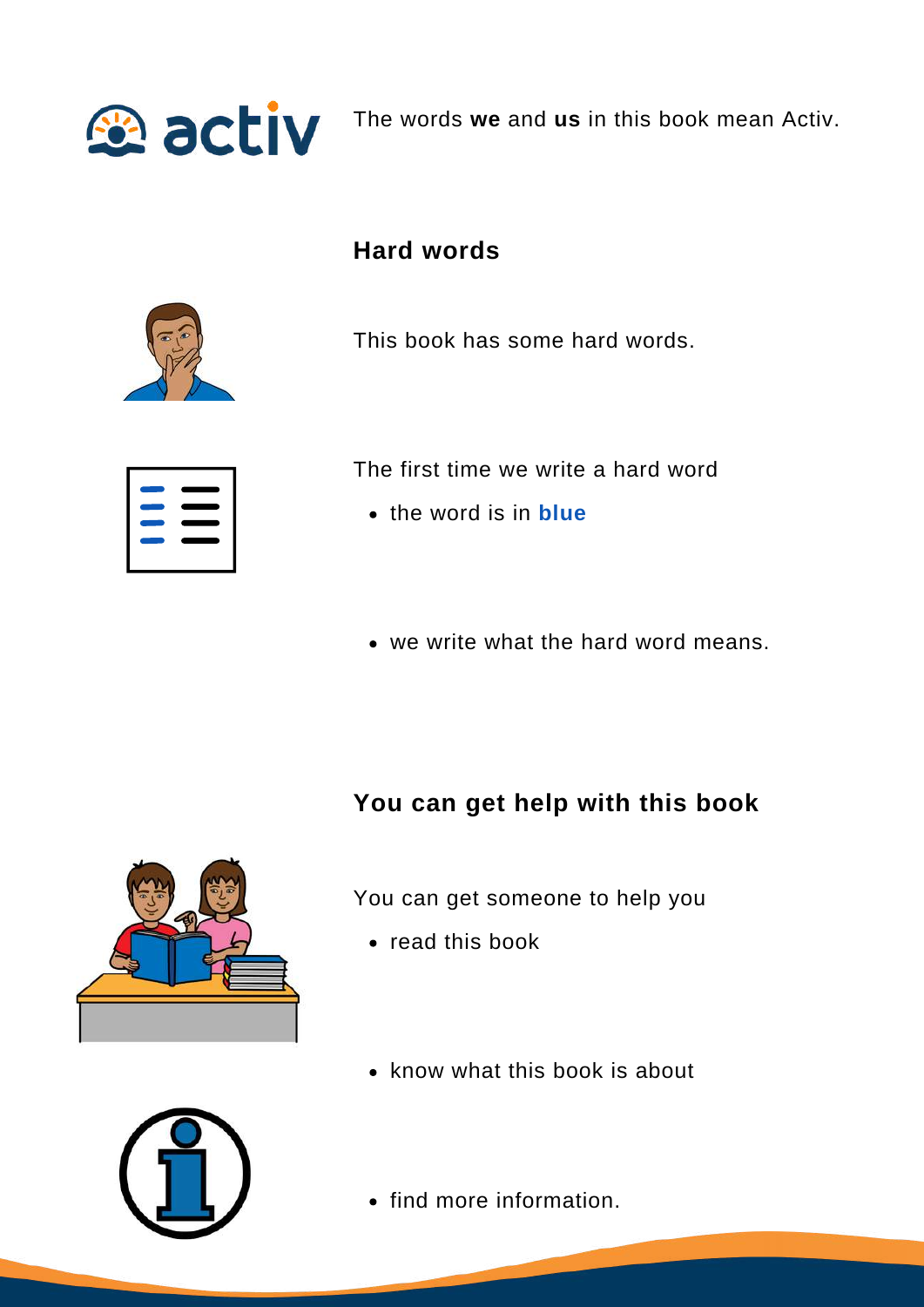

The words **we** and **us** in this book mean Activ.

### **Hard words**



This book has some hard words.

The first time we write a hard word

- the word is in **blue**
- we write what the hard word means.

#### **You can get help with this book**



You can get someone to help you

- read this book
- know what this book is about



• find more information.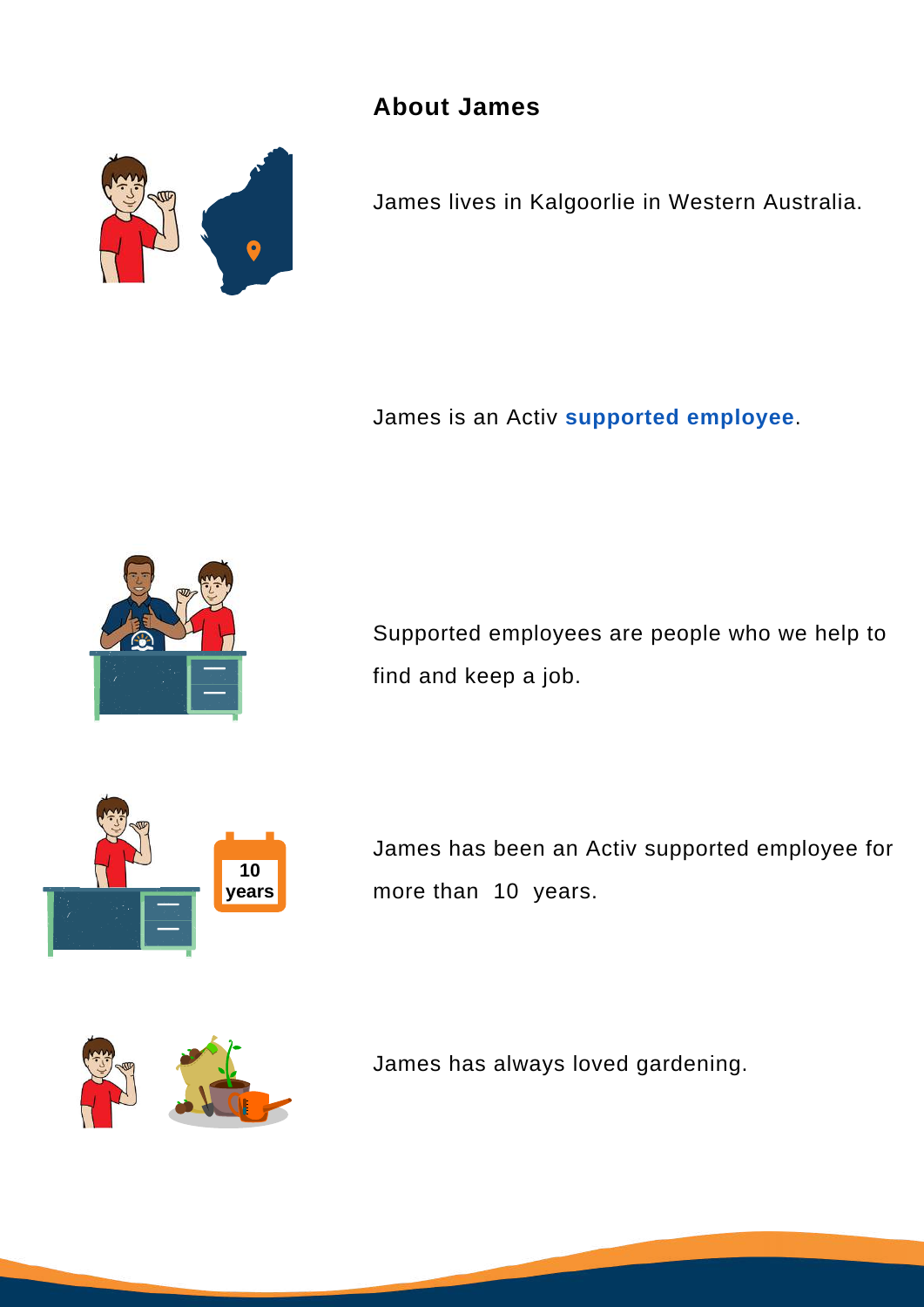**About James**



James lives in Kalgoorlie in Western Australia.

James is an Activ **supported employee**.



Supported employees are people who we help to find and keep a job.



James has been an Activ supported employee for more than 10 years.



James has always loved gardening.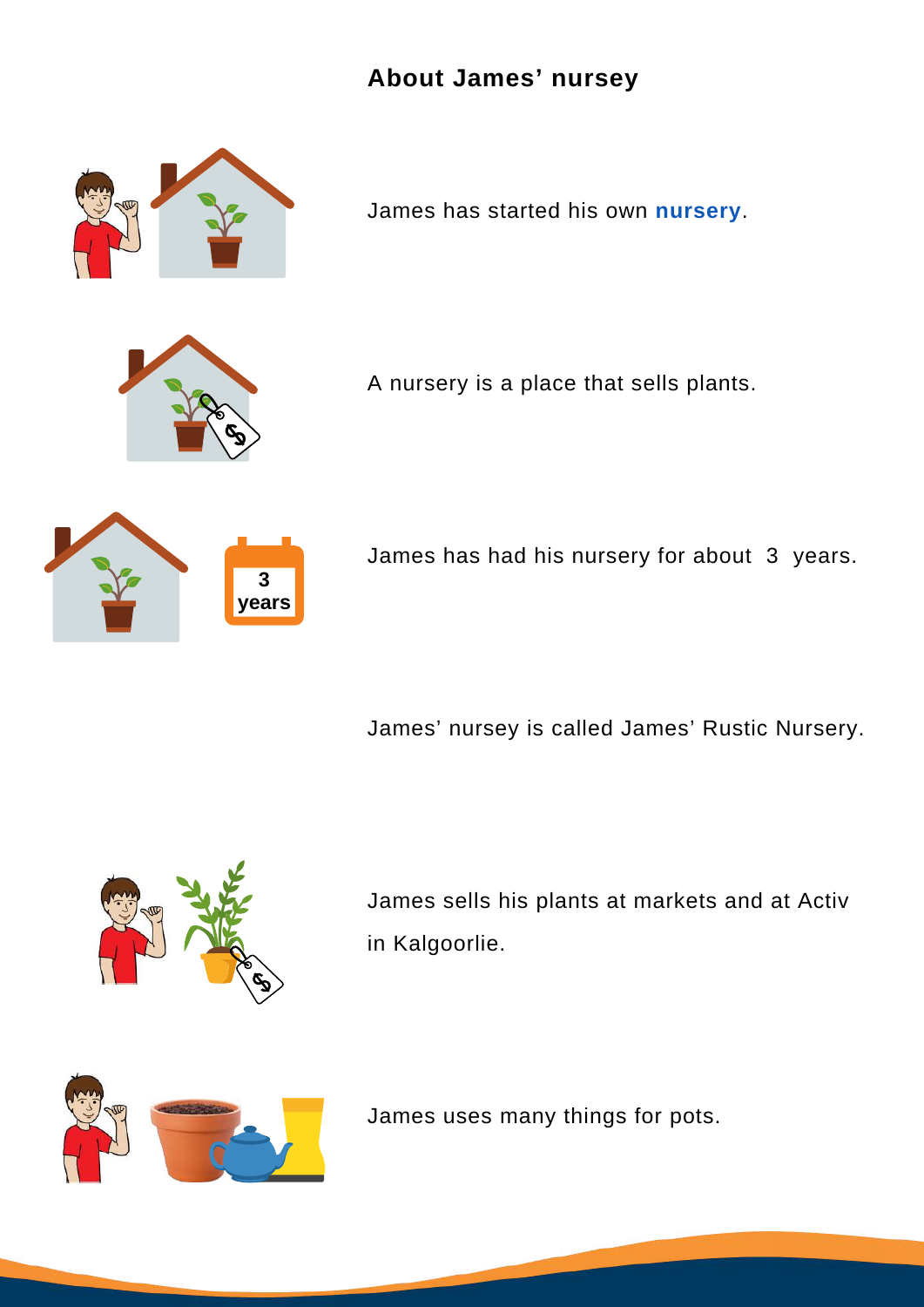#### **About James' nursey**



James has started his own **nursery**.



A nursery is a place that sells plants.



James has had his nursery for about 3 years.

James' nursey is called James' Rustic Nursery.



James sells his plants at markets and at Activ in Kalgoorlie.



James uses many things for pots.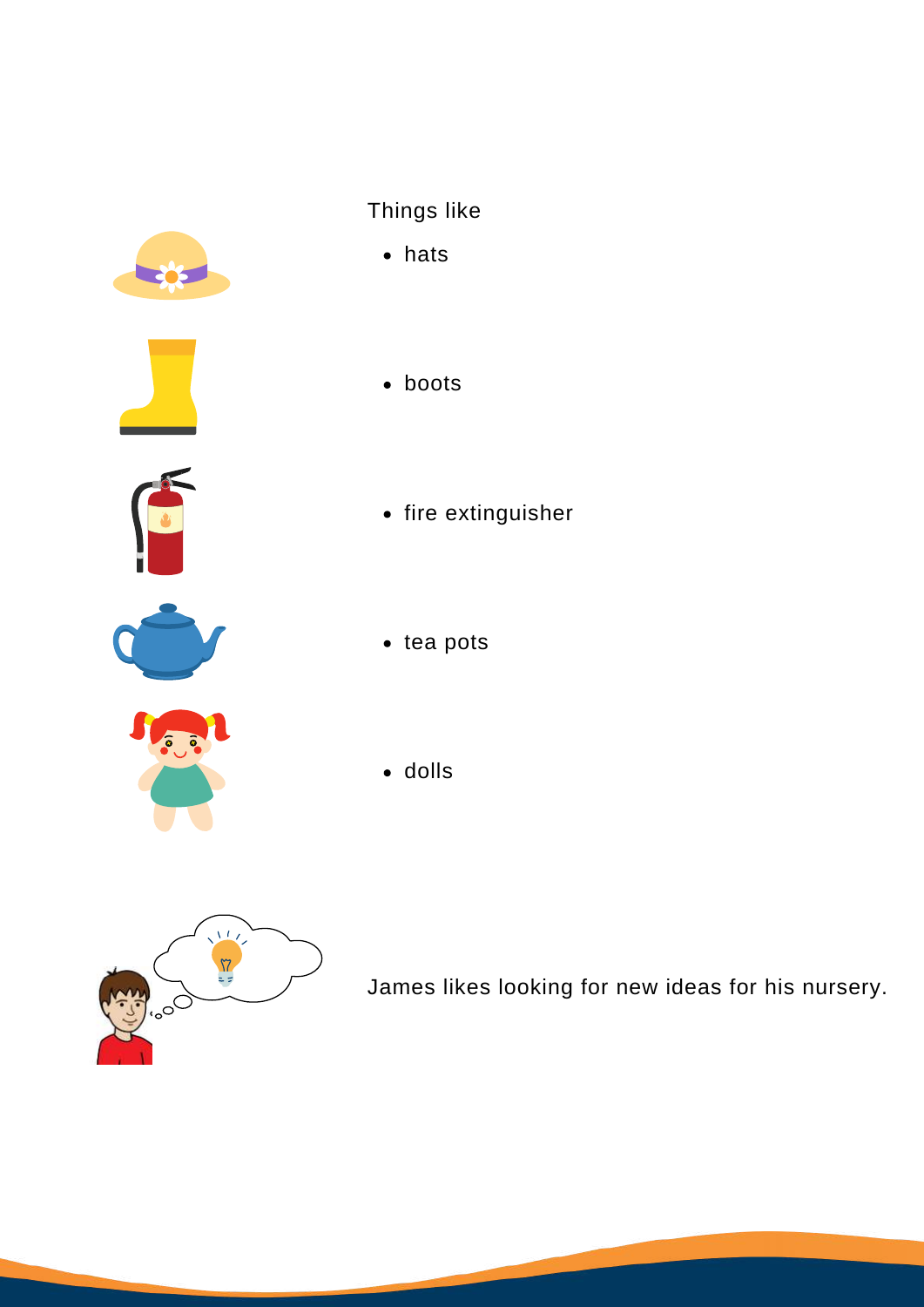

## Things like

- hats
- boots



 $\bullet$  fire extinguisher



- $\bullet$  tea pots
- dolls



James likes looking for new ideas for his nursery.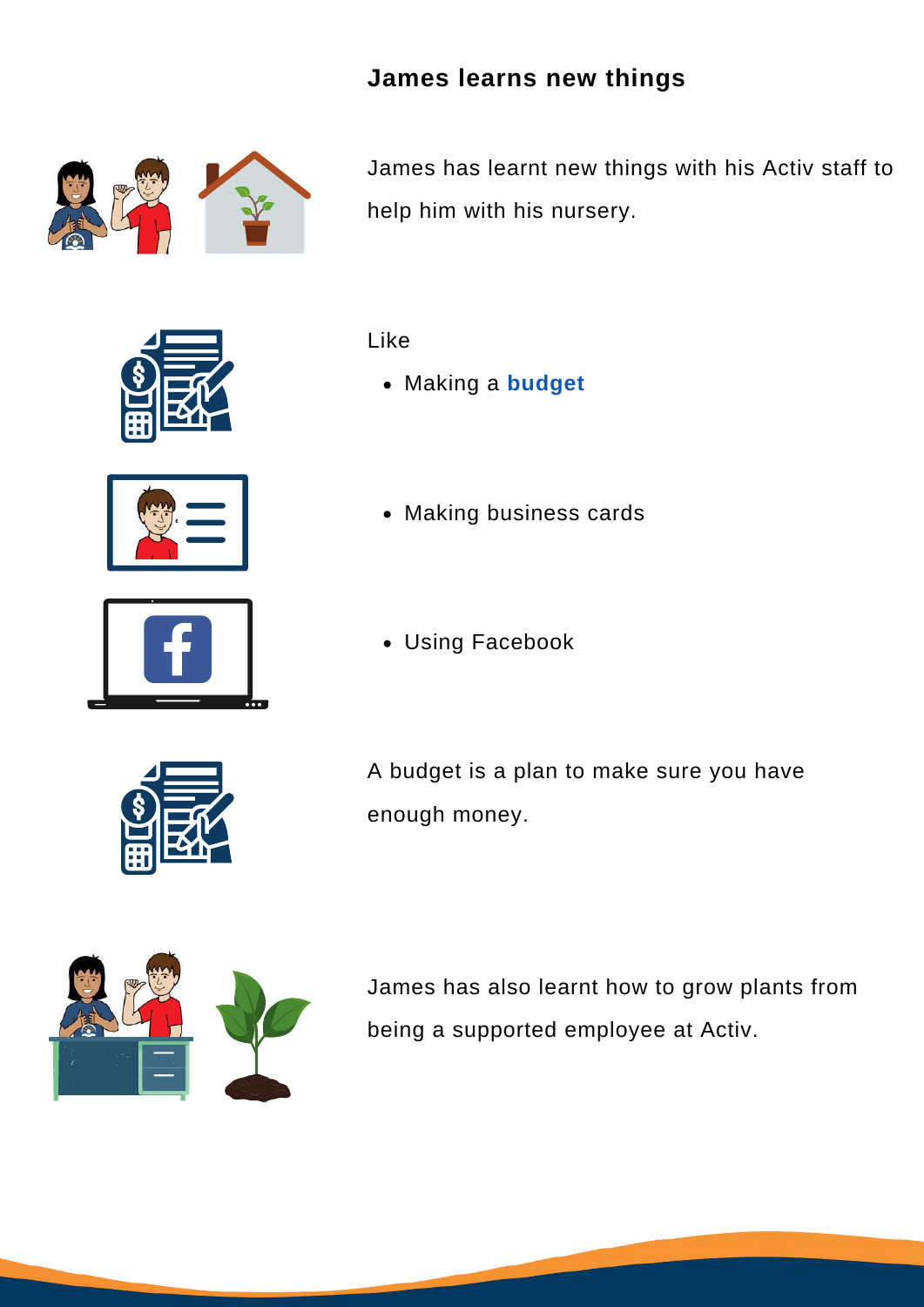#### **James learns new things**



James has learnt new things with his Activ staff to help him with his nursery.







Like

- Making a **budget**
- Making business cards
- Using Facebook



A budget is a plan to make sure you have enough money.



James has also learnt how to grow plants from being a supported employee at Activ.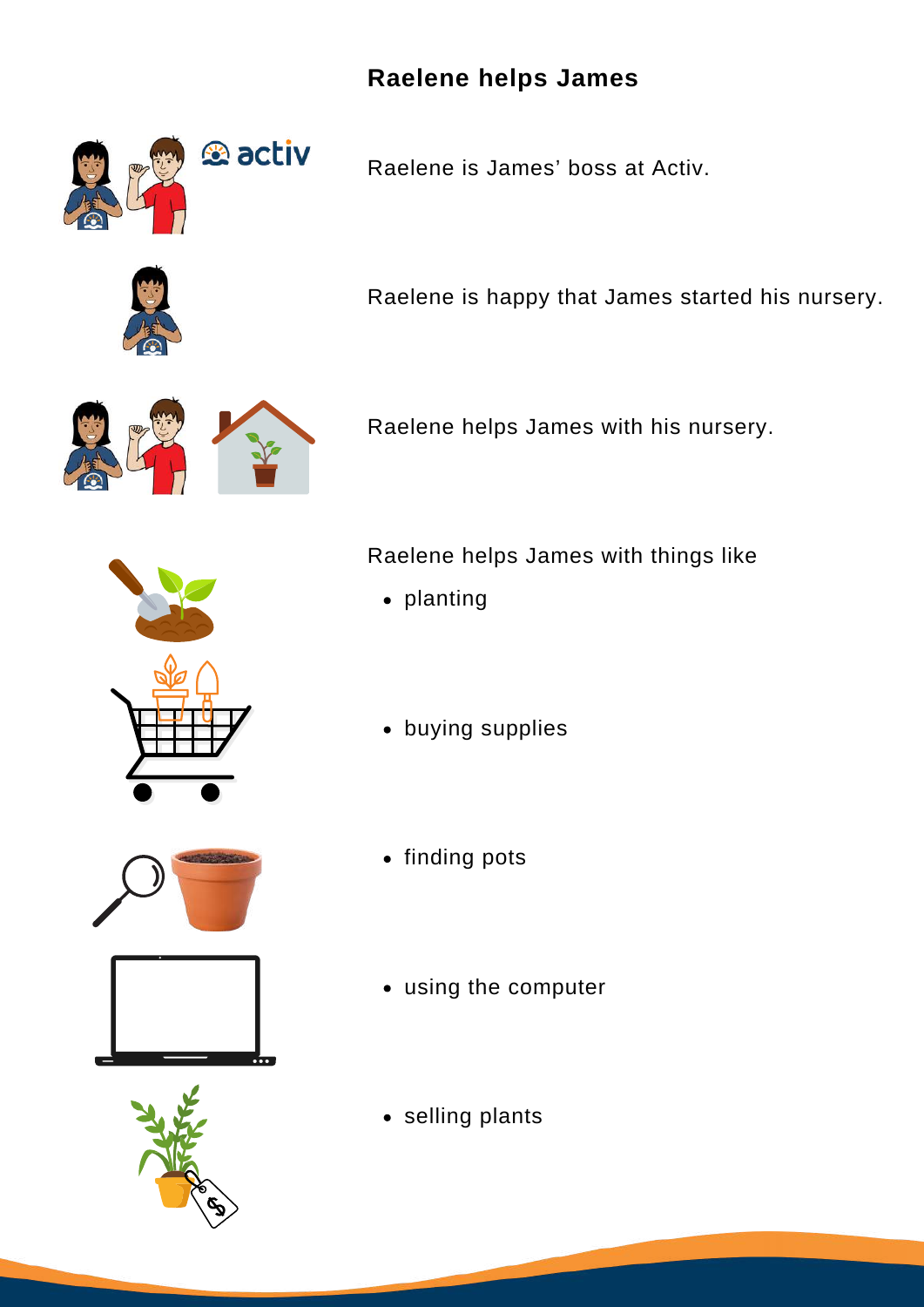### **Raelene helps James**



Raelene is James' boss at Activ.



Raelene is happy that James started his nursery.



Raelene helps James with his nursery.



Raelene helps James with things like

- planting
- buying supplies



- finding pots
- using the computer
- selling plants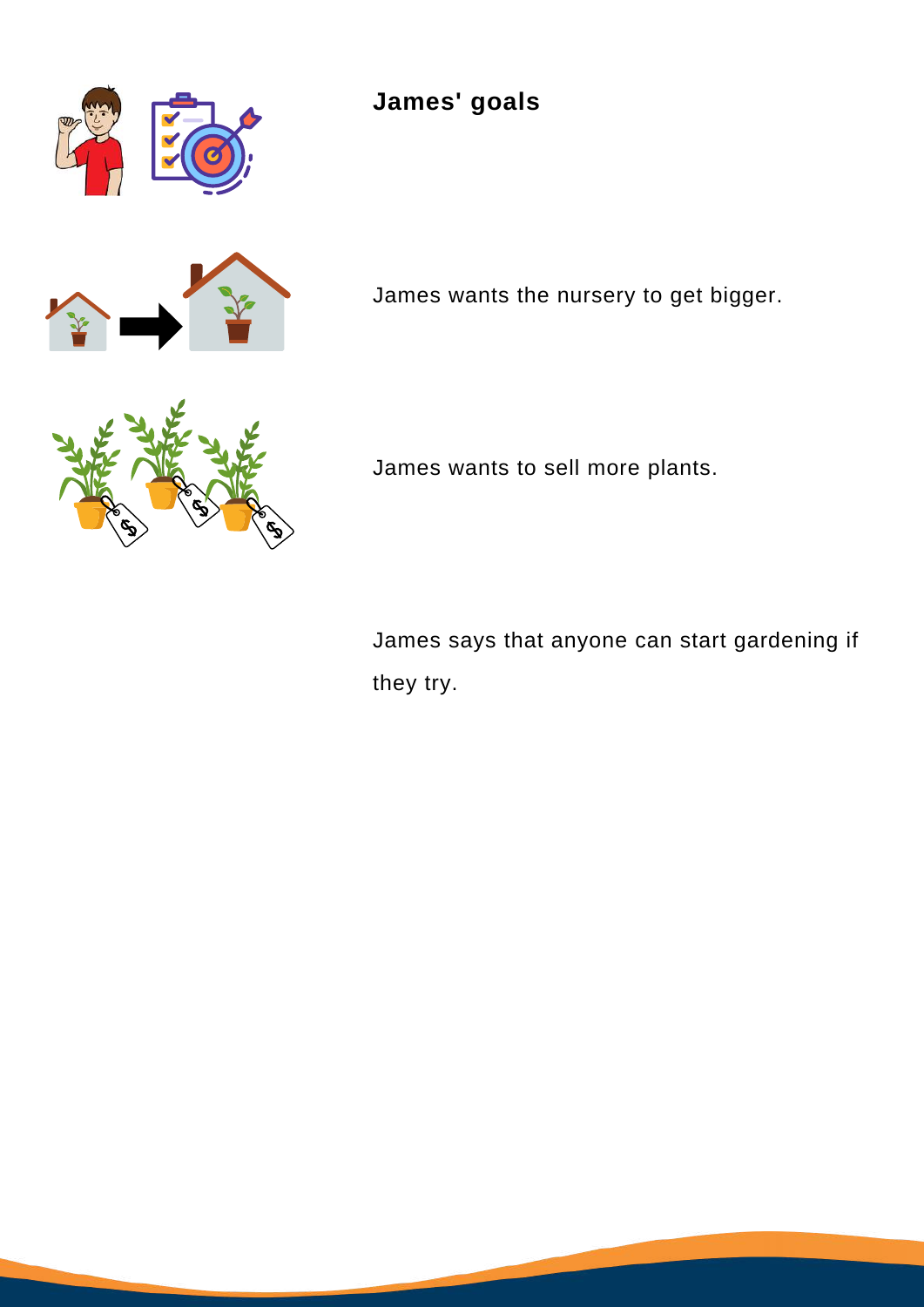

# **James' goals**



James wants the nursery to get bigger.



James wants to sell more plants.

James says that anyone can start gardening if they try.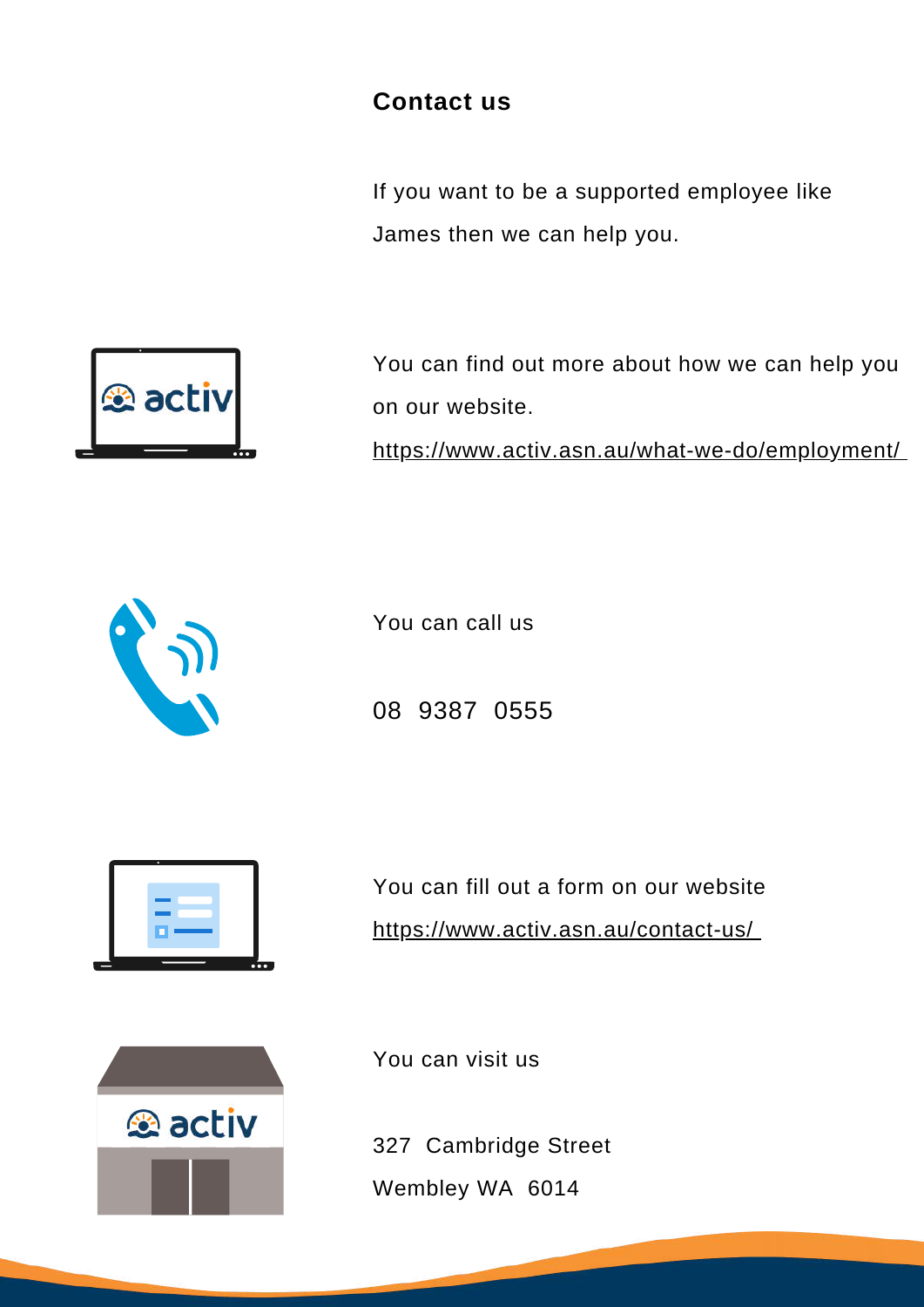#### **Contact us**

If you want to be a supported employee like James then we can help you.



You can find out more about how we can help you on our website.

<https://www.activ.asn.au/what-we-do/employment/>



You can call us



08 9387 0555

You can fill out a form on our website <https://www.activ.asn.au/contact-us/>



You can visit us

327 Cambridge Street Wembley WA 6014